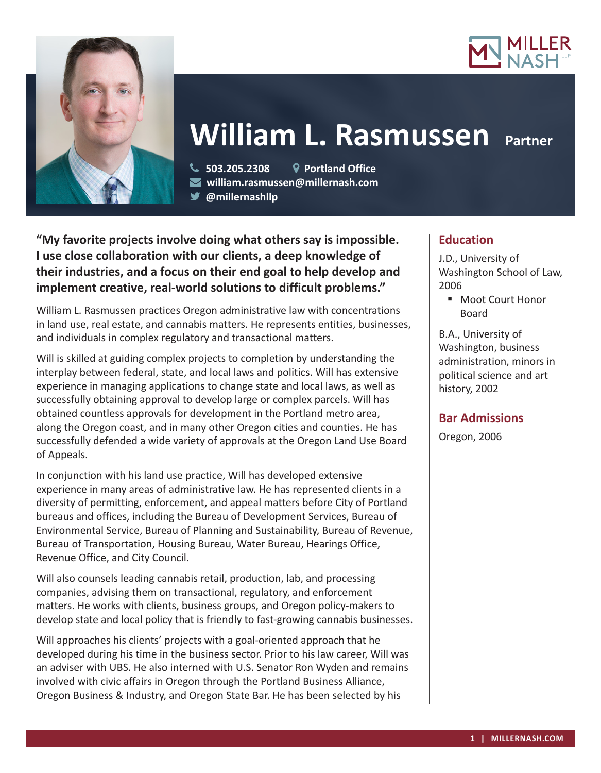



# **William L. Rasmussen**

 **503.205.2308 Portland Office william.rasmussen@millernash.com @millernashllp** 

**"My favorite projects involve doing what others say is impossible. I use close collaboration with our clients, a deep knowledge of their industries, and a focus on their end goal to help develop and implement creative, real-world solutions to difficult problems."**

William L. Rasmussen practices Oregon administrative law with concentrations in land use, real estate, and cannabis matters. He represents entities, businesses, and individuals in complex regulatory and transactional matters.

Will is skilled at guiding complex projects to completion by understanding the interplay between federal, state, and local laws and politics. Will has extensive experience in managing applications to change state and local laws, as well as successfully obtaining approval to develop large or complex parcels. Will has obtained countless approvals for development in the Portland metro area, along the Oregon coast, and in many other Oregon cities and counties. He has successfully defended a wide variety of approvals at the Oregon Land Use Board of Appeals.

In conjunction with his land use practice, Will has developed extensive experience in many areas of administrative law. He has represented clients in a diversity of permitting, enforcement, and appeal matters before City of Portland bureaus and offices, including the Bureau of Development Services, Bureau of Environmental Service, Bureau of Planning and Sustainability, Bureau of Revenue, Bureau of Transportation, Housing Bureau, Water Bureau, Hearings Office, Revenue Office, and City Council.

Will also counsels leading cannabis retail, production, lab, and processing companies, advising them on transactional, regulatory, and enforcement matters. He works with clients, business groups, and Oregon policy-makers to develop state and local policy that is friendly to fast-growing cannabis businesses.

Will approaches his clients' projects with a goal-oriented approach that he developed during his time in the business sector. Prior to his law career, Will was an adviser with UBS. He also interned with U.S. Senator Ron Wyden and remains involved with civic affairs in Oregon through the Portland Business Alliance, Oregon Business & Industry, and Oregon State Bar. He has been selected by his

# **Education**

J.D., University of Washington School of Law, 2006

■ Moot Court Honor Board

B.A., University of Washington, business administration, minors in political science and art history, 2002

# **Bar Admissions**

Oregon, 2006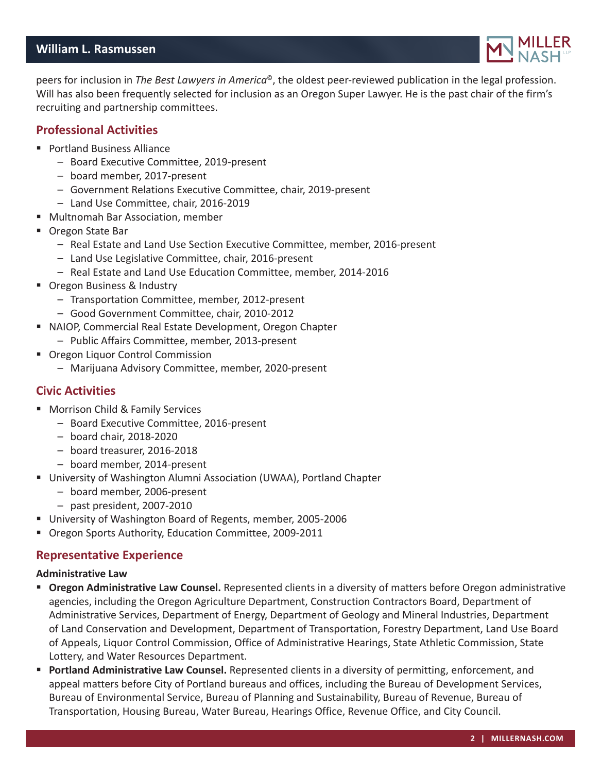# **William L. Rasmussen**



peers for inclusion in *The Best Lawyers in America*©, the oldest peer-reviewed publication in the legal profession. Will has also been frequently selected for inclusion as an Oregon Super Lawyer. He is the past chair of the firm's recruiting and partnership committees.

## **Professional Activities**

- Portland Business Alliance
	- Board Executive Committee, 2019-present
	- board member, 2017-present
	- Government Relations Executive Committee, chair, 2019-present
	- Land Use Committee, chair, 2016-2019
- Multnomah Bar Association, member
- Oregon State Bar
	- Real Estate and Land Use Section Executive Committee, member, 2016-present
	- Land Use Legislative Committee, chair, 2016-present
	- Real Estate and Land Use Education Committee, member, 2014-2016
- Oregon Business & Industry
	- Transportation Committee, member, 2012-present
	- Good Government Committee, chair, 2010-2012
- NAIOP, Commercial Real Estate Development, Oregon Chapter
	- Public Affairs Committee, member, 2013-present
- Oregon Liquor Control Commission
	- Marijuana Advisory Committee, member, 2020-present

# **Civic Activities**

- **Morrison Child & Family Services** 
	- Board Executive Committee, 2016-present
	- board chair, 2018-2020
	- board treasurer, 2016-2018
	- board member, 2014-present
- University of Washington Alumni Association (UWAA), Portland Chapter
	- board member, 2006-present
	- past president, 2007-2010
- University of Washington Board of Regents, member, 2005-2006
- Oregon Sports Authority, Education Committee, 2009-2011

# **Representative Experience**

#### **Administrative Law**

- **Oregon Administrative Law Counsel.** Represented clients in a diversity of matters before Oregon administrative agencies, including the Oregon Agriculture Department, Construction Contractors Board, Department of Administrative Services, Department of Energy, Department of Geology and Mineral Industries, Department of Land Conservation and Development, Department of Transportation, Forestry Department, Land Use Board of Appeals, Liquor Control Commission, Office of Administrative Hearings, State Athletic Commission, State Lottery, and Water Resources Department.
- **Portland Administrative Law Counsel.** Represented clients in a diversity of permitting, enforcement, and appeal matters before City of Portland bureaus and offices, including the Bureau of Development Services, Bureau of Environmental Service, Bureau of Planning and Sustainability, Bureau of Revenue, Bureau of Transportation, Housing Bureau, Water Bureau, Hearings Office, Revenue Office, and City Council.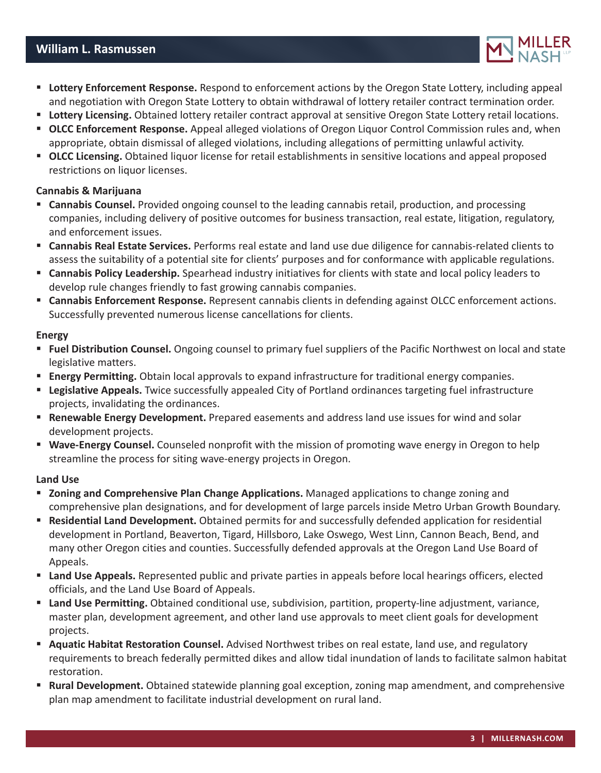# **William L. Rasmussen**



- **Lottery Enforcement Response.** Respond to enforcement actions by the Oregon State Lottery, including appeal and negotiation with Oregon State Lottery to obtain withdrawal of lottery retailer contract termination order.
- **Lottery Licensing.** Obtained lottery retailer contract approval at sensitive Oregon State Lottery retail locations.
- **OLCC Enforcement Response.** Appeal alleged violations of Oregon Liquor Control Commission rules and, when appropriate, obtain dismissal of alleged violations, including allegations of permitting unlawful activity.
- **OLCC Licensing.** Obtained liquor license for retail establishments in sensitive locations and appeal proposed restrictions on liquor licenses.

### **Cannabis & Marijuana**

- **Cannabis Counsel.** Provided ongoing counsel to the leading cannabis retail, production, and processing companies, including delivery of positive outcomes for business transaction, real estate, litigation, regulatory, and enforcement issues.
- **Cannabis Real Estate Services.** Performs real estate and land use due diligence for cannabis-related clients to assess the suitability of a potential site for clients' purposes and for conformance with applicable regulations.
- **Cannabis Policy Leadership.** Spearhead industry initiatives for clients with state and local policy leaders to develop rule changes friendly to fast growing cannabis companies.
- **Cannabis Enforcement Response.** Represent cannabis clients in defending against OLCC enforcement actions. Successfully prevented numerous license cancellations for clients.

#### **Energy**

- **Fuel Distribution Counsel.** Ongoing counsel to primary fuel suppliers of the Pacific Northwest on local and state legislative matters.
- **Energy Permitting.** Obtain local approvals to expand infrastructure for traditional energy companies.
- **Legislative Appeals.** Twice successfully appealed City of Portland ordinances targeting fuel infrastructure projects, invalidating the ordinances.
- **Renewable Energy Development.** Prepared easements and address land use issues for wind and solar development projects.
- **Wave-Energy Counsel.** Counseled nonprofit with the mission of promoting wave energy in Oregon to help streamline the process for siting wave-energy projects in Oregon.

#### **Land Use**

- **Zoning and Comprehensive Plan Change Applications.** Managed applications to change zoning and comprehensive plan designations, and for development of large parcels inside Metro Urban Growth Boundary.
- **Residential Land Development.** Obtained permits for and successfully defended application for residential development in Portland, Beaverton, Tigard, Hillsboro, Lake Oswego, West Linn, Cannon Beach, Bend, and many other Oregon cities and counties. Successfully defended approvals at the Oregon Land Use Board of Appeals.
- **Land Use Appeals.** Represented public and private parties in appeals before local hearings officers, elected officials, and the Land Use Board of Appeals.
- **Land Use Permitting.** Obtained conditional use, subdivision, partition, property-line adjustment, variance, master plan, development agreement, and other land use approvals to meet client goals for development projects.
- **Aquatic Habitat Restoration Counsel.** Advised Northwest tribes on real estate, land use, and regulatory requirements to breach federally permitted dikes and allow tidal inundation of lands to facilitate salmon habitat restoration.
- **Rural Development.** Obtained statewide planning goal exception, zoning map amendment, and comprehensive plan map amendment to facilitate industrial development on rural land.